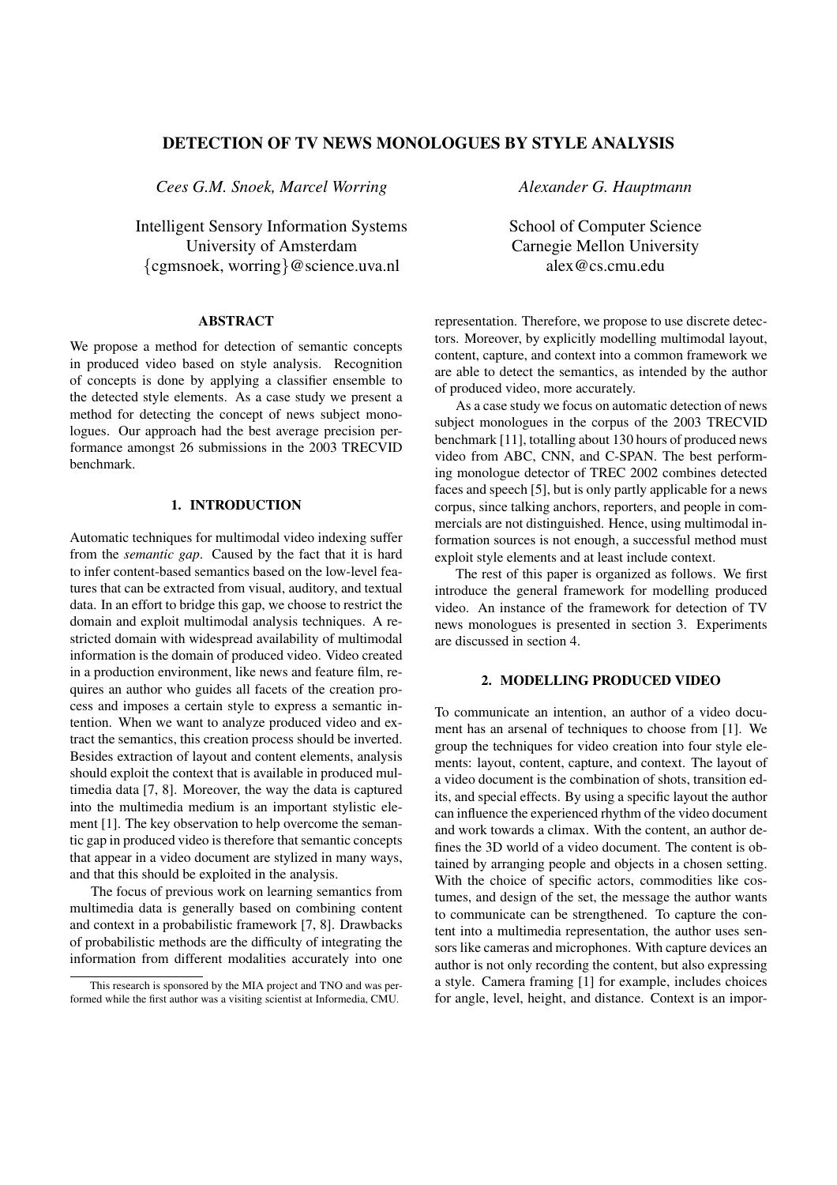# **DETECTION OF TV NEWS MONOLOGUES BY STYLE ANALYSIS**

*Cees G.M. Snoek, Marcel Worring*

Intelligent Sensory Information Systems University of Amsterdam {cgmsnoek, worring}@science.uva.nl

## **ABSTRACT**

We propose a method for detection of semantic concepts in produced video based on style analysis. Recognition of concepts is done by applying a classifier ensemble to the detected style elements. As a case study we present a method for detecting the concept of news subject monologues. Our approach had the best average precision performance amongst 26 submissions in the 2003 TRECVID benchmark.

## **1. INTRODUCTION**

Automatic techniques for multimodal video indexing suffer from the *semantic gap*. Caused by the fact that it is hard to infer content-based semantics based on the low-level features that can be extracted from visual, auditory, and textual data. In an effort to bridge this gap, we choose to restrict the domain and exploit multimodal analysis techniques. A restricted domain with widespread availability of multimodal information is the domain of produced video. Video created in a production environment, like news and feature film, requires an author who guides all facets of the creation process and imposes a certain style to express a semantic intention. When we want to analyze produced video and extract the semantics, this creation process should be inverted. Besides extraction of layout and content elements, analysis should exploit the context that is available in produced multimedia data [7, 8]. Moreover, the way the data is captured into the multimedia medium is an important stylistic element [1]. The key observation to help overcome the semantic gap in produced video is therefore that semantic concepts that appear in a video document are stylized in many ways, and that this should be exploited in the analysis.

The focus of previous work on learning semantics from multimedia data is generally based on combining content and context in a probabilistic framework [7, 8]. Drawbacks of probabilistic methods are the difficulty of integrating the information from different modalities accurately into one *Alexander G. Hauptmann*

School of Computer Science Carnegie Mellon University alex@cs.cmu.edu

representation. Therefore, we propose to use discrete detectors. Moreover, by explicitly modelling multimodal layout, content, capture, and context into a common framework we are able to detect the semantics, as intended by the author of produced video, more accurately.

As a case study we focus on automatic detection of news subject monologues in the corpus of the 2003 TRECVID benchmark [11], totalling about 130 hours of produced news video from ABC, CNN, and C-SPAN. The best performing monologue detector of TREC 2002 combines detected faces and speech [5], but is only partly applicable for a news corpus, since talking anchors, reporters, and people in commercials are not distinguished. Hence, using multimodal information sources is not enough, a successful method must exploit style elements and at least include context.

The rest of this paper is organized as follows. We first introduce the general framework for modelling produced video. An instance of the framework for detection of TV news monologues is presented in section 3. Experiments are discussed in section 4.

### **2. MODELLING PRODUCED VIDEO**

To communicate an intention, an author of a video document has an arsenal of techniques to choose from [1]. We group the techniques for video creation into four style elements: layout, content, capture, and context. The layout of a video document is the combination of shots, transition edits, and special effects. By using a specific layout the author can influence the experienced rhythm of the video document and work towards a climax. With the content, an author defines the 3D world of a video document. The content is obtained by arranging people and objects in a chosen setting. With the choice of specific actors, commodities like costumes, and design of the set, the message the author wants to communicate can be strengthened. To capture the content into a multimedia representation, the author uses sensors like cameras and microphones. With capture devices an author is not only recording the content, but also expressing a style. Camera framing [1] for example, includes choices for angle, level, height, and distance. Context is an impor-

This research is sponsored by the MIA project and TNO and was performed while the first author was a visiting scientist at Informedia, CMU.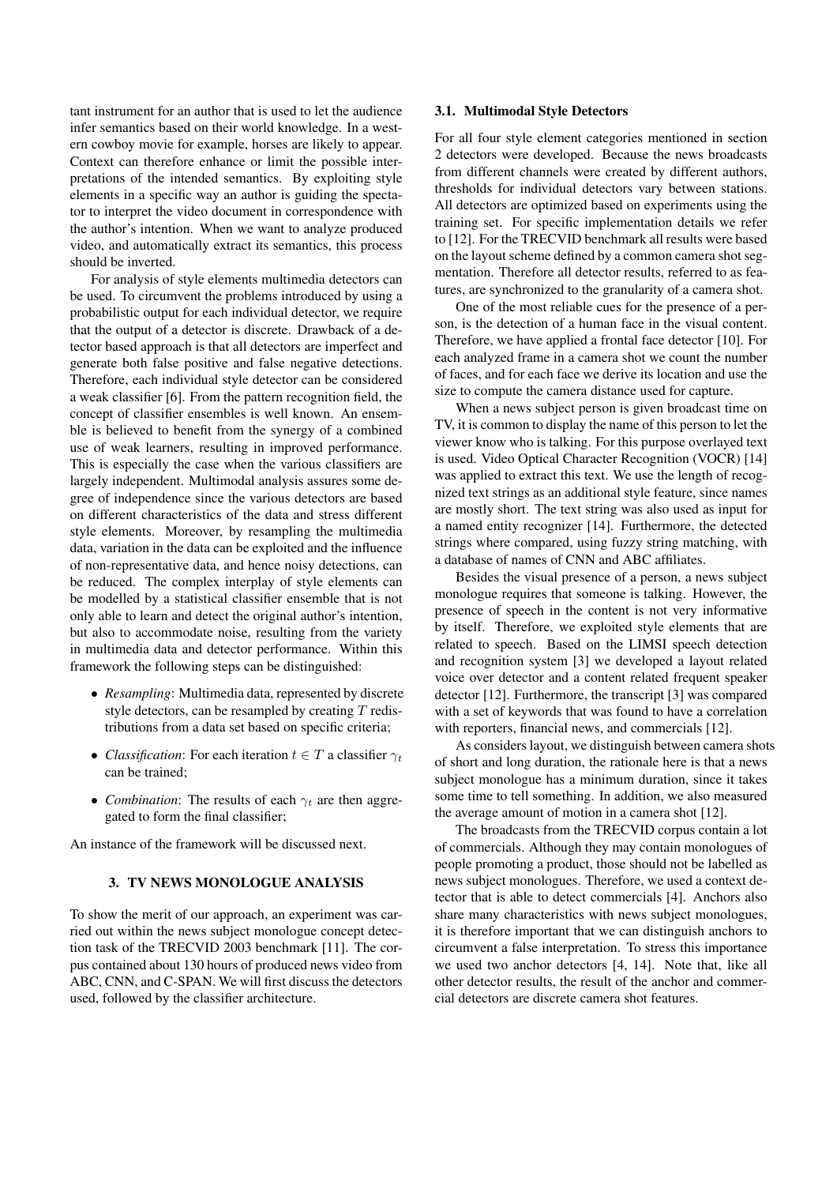tant instrument for an author that is used to let the audience infer semantics based on their world knowledge. In a western cowboy movie for example, horses are likely to appear. Context can therefore enhance or limit the possible interpretations of the intended semantics. By exploiting style elements in a specific way an author is guiding the spectator to interpret the video document in correspondence with the author's intention. When we want to analyze produced video, and automatically extract its semantics, this process should be inverted.

For analysis of style elements multimedia detectors can be used. To circumvent the problems introduced by using a probabilistic output for each individual detector, we require that the output of a detector is discrete. Drawback of a detector based approach is that all detectors are imperfect and generate both false positive and false negative detections. Therefore, each individual style detector can be considered a weak classifier [6]. From the pattern recognition field, the concept of classifier ensembles is well known. An ensemble is believed to benefit from the synergy of a combined use of weak learners, resulting in improved performance. This is especially the case when the various classifiers are largely independent. Multimodal analysis assures some degree of independence since the various detectors are based on different characteristics of the data and stress different style elements. Moreover, by resampling the multimedia data, variation in the data can be exploited and the influence of non-representative data, and hence noisy detections, can be reduced. The complex interplay of style elements can be modelled by a statistical classifier ensemble that is not only able to learn and detect the original author's intention, but also to accommodate noise, resulting from the variety in multimedia data and detector performance. Within this framework the following steps can be distinguished:

- *Resampling*: Multimedia data, represented by discrete style detectors, can be resampled by creating  $T$  redistributions from a data set based on specific criteria;
- *Classification*: For each iteration  $t \in T$  a classifier  $\gamma_t$ can be trained;
- *Combination*: The results of each  $\gamma_t$  are then aggregated to form the final classifier;

An instance of the framework will be discussed next.

## **3. TV NEWS MONOLOGUE ANALYSIS**

To show the merit of our approach, an experiment was carried out within the news subject monologue concept detection task of the TRECVID 2003 benchmark [11]. The corpus contained about 130 hours of produced news video from ABC, CNN, and C-SPAN. We will first discuss the detectors used, followed by the classifier architecture.

## **3.1. Multimodal Style Detectors**

For all four style element categories mentioned in section 2 detectors were developed. Because the news broadcasts from different channels were created by different authors, thresholds for individual detectors vary between stations. All detectors are optimized based on experiments using the training set. For specific implementation details we refer to [12]. For the TRECVID benchmark all results were based on the layout scheme defined by a common camera shot segmentation. Therefore all detector results, referred to as features, are synchronized to the granularity of a camera shot.

One of the most reliable cues for the presence of a person, is the detection of a human face in the visual content. Therefore, we have applied a frontal face detector [10]. For each analyzed frame in a camera shot we count the number of faces, and for each face we derive its location and use the size to compute the camera distance used for capture.

When a news subject person is given broadcast time on TV, it is common to display the name of this person to let the viewer know who is talking. For this purpose overlayed text is used. Video Optical Character Recognition (VOCR) [14] was applied to extract this text. We use the length of recognized text strings as an additional style feature, since names are mostly short. The text string was also used as input for a named entity recognizer [14]. Furthermore, the detected strings where compared, using fuzzy string matching, with a database of names of CNN and ABC affiliates.

Besides the visual presence of a person, a news subject monologue requires that someone is talking. However, the presence of speech in the content is not very informative by itself. Therefore, we exploited style elements that are related to speech. Based on the LIMSI speech detection and recognition system [3] we developed a layout related voice over detector and a content related frequent speaker detector [12]. Furthermore, the transcript [3] was compared with a set of keywords that was found to have a correlation with reporters, financial news, and commercials [12].

As considers layout, we distinguish between camera shots of short and long duration, the rationale here is that a news subject monologue has a minimum duration, since it takes some time to tell something. In addition, we also measured the average amount of motion in a camera shot [12].

The broadcasts from the TRECVID corpus contain a lot of commercials. Although they may contain monologues of people promoting a product, those should not be labelled as news subject monologues. Therefore, we used a context detector that is able to detect commercials [4]. Anchors also share many characteristics with news subject monologues, it is therefore important that we can distinguish anchors to circumvent a false interpretation. To stress this importance we used two anchor detectors [4, 14]. Note that, like all other detector results, the result of the anchor and commercial detectors are discrete camera shot features.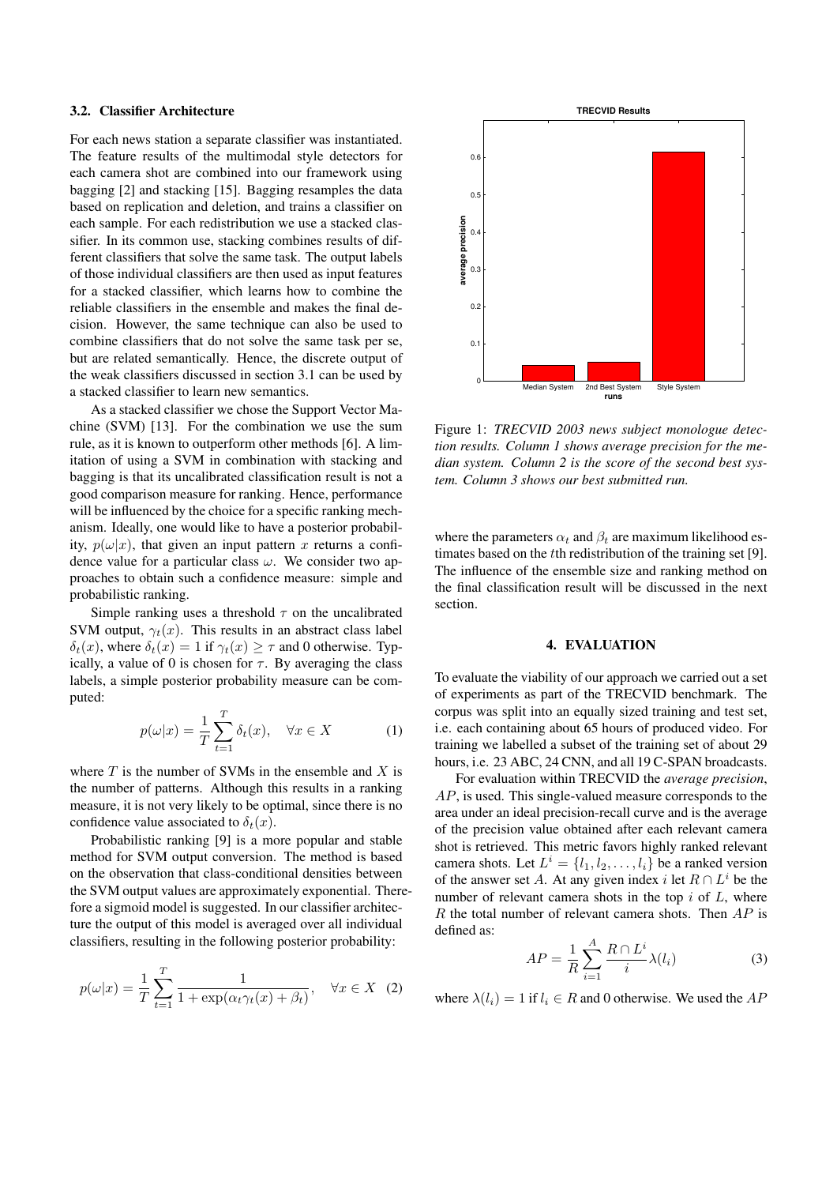### **3.2. Classifier Architecture**

For each news station a separate classifier was instantiated. The feature results of the multimodal style detectors for each camera shot are combined into our framework using bagging [2] and stacking [15]. Bagging resamples the data based on replication and deletion, and trains a classifier on each sample. For each redistribution we use a stacked classifier. In its common use, stacking combines results of different classifiers that solve the same task. The output labels of those individual classifiers are then used as input features for a stacked classifier, which learns how to combine the reliable classifiers in the ensemble and makes the final decision. However, the same technique can also be used to combine classifiers that do not solve the same task per se, but are related semantically. Hence, the discrete output of the weak classifiers discussed in section 3.1 can be used by a stacked classifier to learn new semantics.

As a stacked classifier we chose the Support Vector Machine (SVM) [13]. For the combination we use the sum rule, as it is known to outperform other methods [6]. A limitation of using a SVM in combination with stacking and bagging is that its uncalibrated classification result is not a good comparison measure for ranking. Hence, performance will be influenced by the choice for a specific ranking mechanism. Ideally, one would like to have a posterior probability,  $p(\omega|x)$ , that given an input pattern x returns a confidence value for a particular class  $\omega$ . We consider two approaches to obtain such a confidence measure: simple and probabilistic ranking.

Simple ranking uses a threshold  $\tau$  on the uncalibrated SVM output,  $\gamma_t(x)$ . This results in an abstract class label  $\delta_t(x)$ , where  $\delta_t(x) = 1$  if  $\gamma_t(x) \geq \tau$  and 0 otherwise. Typically, a value of 0 is chosen for  $\tau$ . By averaging the class labels, a simple posterior probability measure can be computed:

$$
p(\omega|x) = \frac{1}{T} \sum_{t=1}^{T} \delta_t(x), \quad \forall x \in X \tag{1}
$$

where  $T$  is the number of SVMs in the ensemble and  $X$  is the number of patterns. Although this results in a ranking measure, it is not very likely to be optimal, since there is no confidence value associated to  $\delta_t(x)$ .

Probabilistic ranking [9] is a more popular and stable method for SVM output conversion. The method is based on the observation that class-conditional densities between the SVM output values are approximately exponential. Therefore a sigmoid model is suggested. In our classifier architecture the output of this model is averaged over all individual classifiers, resulting in the following posterior probability:

$$
p(\omega|x) = \frac{1}{T} \sum_{t=1}^{T} \frac{1}{1 + \exp(\alpha_t \gamma_t(x) + \beta_t)}, \quad \forall x \in X \quad (2)
$$



Figure 1: *TRECVID 2003 news subject monologue detection results. Column 1 shows average precision for the median system. Column 2 is the score of the second best system. Column 3 shows our best submitted run.*

where the parameters  $\alpha_t$  and  $\beta_t$  are maximum likelihood estimates based on the tth redistribution of the training set [9]. The influence of the ensemble size and ranking method on the final classification result will be discussed in the next section.

## **4. EVALUATION**

To evaluate the viability of our approach we carried out a set of experiments as part of the TRECVID benchmark. The corpus was split into an equally sized training and test set, i.e. each containing about 65 hours of produced video. For training we labelled a subset of the training set of about 29 hours, i.e. 23 ABC, 24 CNN, and all 19 C-SPAN broadcasts.

For evaluation within TRECVID the *average precision*, AP, is used. This single-valued measure corresponds to the area under an ideal precision-recall curve and is the average of the precision value obtained after each relevant camera shot is retrieved. This metric favors highly ranked relevant camera shots. Let  $L^i = \{l_1, l_2, \ldots, l_i\}$  be a ranked version of the answer set A. At any given index i let  $R \cap L^i$  be the number of relevant camera shots in the top  $i$  of  $L$ , where  $R$  the total number of relevant camera shots. Then  $AP$  is defined as:

$$
AP = \frac{1}{R} \sum_{i=1}^{A} \frac{R \cap L^i}{i} \lambda(l_i)
$$
 (3)

where  $\lambda(l_i) = 1$  if  $l_i \in R$  and 0 otherwise. We used the AP